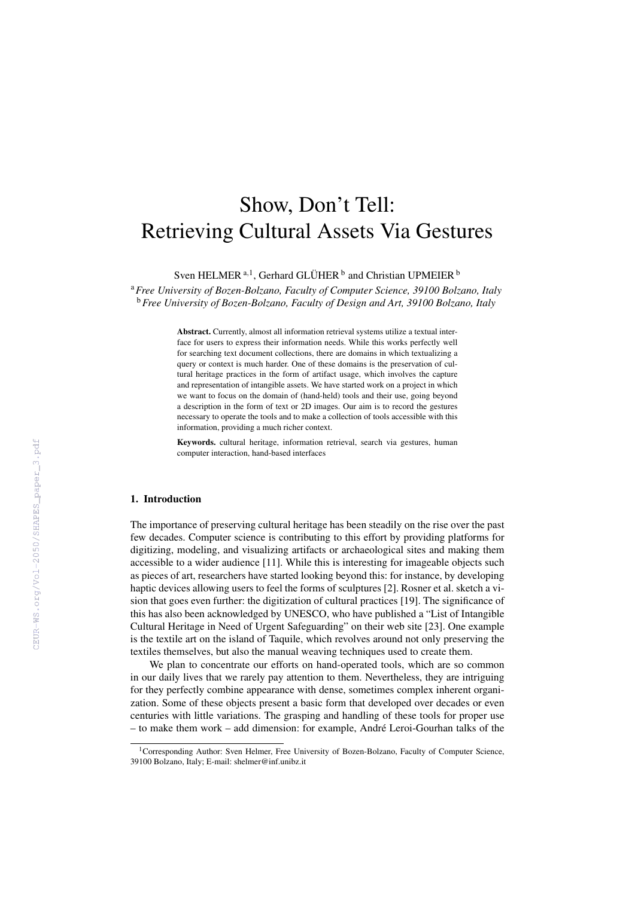# Show, Don't Tell: Retrieving Cultural Assets Via Gestures

Sven HELMER<sup>[a](#page-0-0),1</sup>, Gerhard GLÜHER<sup>[b](#page-0-1)</sup> and Christian UPMEIER<sup>b</sup>

<span id="page-0-1"></span><span id="page-0-0"></span><sup>a</sup>*Free University of Bozen-Bolzano, Faculty of Computer Science, 39100 Bolzano, Italy* <sup>b</sup>*Free University of Bozen-Bolzano, Faculty of Design and Art, 39100 Bolzano, Italy*

> Abstract. Currently, almost all information retrieval systems utilize a textual interface for users to express their information needs. While this works perfectly well for searching text document collections, there are domains in which textualizing a query or context is much harder. One of these domains is the preservation of cultural heritage practices in the form of artifact usage, which involves the capture and representation of intangible assets. We have started work on a project in which we want to focus on the domain of (hand-held) tools and their use, going beyond a description in the form of text or 2D images. Our aim is to record the gestures necessary to operate the tools and to make a collection of tools accessible with this information, providing a much richer context.

> Keywords. cultural heritage, information retrieval, search via gestures, human computer interaction, hand-based interfaces

### 1. Introduction

The importance of preserving cultural heritage has been steadily on the rise over the past few decades. Computer science is contributing to this effort by providing platforms for digitizing, modeling, and visualizing artifacts or archaeological sites and making them accessible to a wider audience [\[11\]](#page--1-0). While this is interesting for imageable objects such as pieces of art, researchers have started looking beyond this: for instance, by developing haptic devices allowing users to feel the forms of sculptures [\[2\]](#page--1-1). Rosner et al. sketch a vision that goes even further: the digitization of cultural practices [\[19\]](#page--1-2). The significance of this has also been acknowledged by UNESCO, who have published a "List of Intangible Cultural Heritage in Need of Urgent Safeguarding" on their web site [\[23\]](#page--1-3). One example is the textile art on the island of Taquile, which revolves around not only preserving the textiles themselves, but also the manual weaving techniques used to create them.

We plan to concentrate our efforts on hand-operated tools, which are so common in our daily lives that we rarely pay attention to them. Nevertheless, they are intriguing for they perfectly combine appearance with dense, sometimes complex inherent organization. Some of these objects present a basic form that developed over decades or even centuries with little variations. The grasping and handling of these tools for proper use – to make them work – add dimension: for example, Andre Leroi-Gourhan talks of the ´

<sup>&</sup>lt;sup>1</sup>Corresponding Author: Sven Helmer, Free University of Bozen-Bolzano, Faculty of Computer Science, 39100 Bolzano, Italy; E-mail: shelmer@inf.unibz.it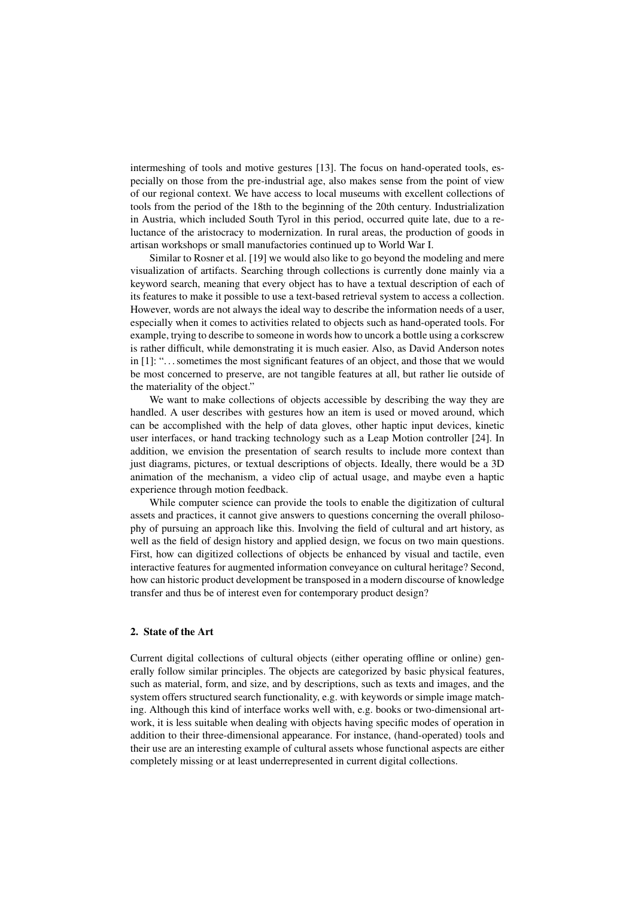intermeshing of tools and motive gestures [\[13\]](#page-4-0). The focus on hand-operated tools, especially on those from the pre-industrial age, also makes sense from the point of view of our regional context. We have access to local museums with excellent collections of tools from the period of the 18th to the beginning of the 20th century. Industrialization in Austria, which included South Tyrol in this period, occurred quite late, due to a reluctance of the aristocracy to modernization. In rural areas, the production of goods in artisan workshops or small manufactories continued up to World War I.

Similar to Rosner et al. [\[19\]](#page-4-1) we would also like to go beyond the modeling and mere visualization of artifacts. Searching through collections is currently done mainly via a keyword search, meaning that every object has to have a textual description of each of its features to make it possible to use a text-based retrieval system to access a collection. However, words are not always the ideal way to describe the information needs of a user, especially when it comes to activities related to objects such as hand-operated tools. For example, trying to describe to someone in words how to uncork a bottle using a corkscrew is rather difficult, while demonstrating it is much easier. Also, as David Anderson notes in [\[1\]](#page-4-2): ". . . sometimes the most significant features of an object, and those that we would be most concerned to preserve, are not tangible features at all, but rather lie outside of the materiality of the object."

We want to make collections of objects accessible by describing the way they are handled. A user describes with gestures how an item is used or moved around, which can be accomplished with the help of data gloves, other haptic input devices, kinetic user interfaces, or hand tracking technology such as a Leap Motion controller [\[24\]](#page-4-3). In addition, we envision the presentation of search results to include more context than just diagrams, pictures, or textual descriptions of objects. Ideally, there would be a 3D animation of the mechanism, a video clip of actual usage, and maybe even a haptic experience through motion feedback.

While computer science can provide the tools to enable the digitization of cultural assets and practices, it cannot give answers to questions concerning the overall philosophy of pursuing an approach like this. Involving the field of cultural and art history, as well as the field of design history and applied design, we focus on two main questions. First, how can digitized collections of objects be enhanced by visual and tactile, even interactive features for augmented information conveyance on cultural heritage? Second, how can historic product development be transposed in a modern discourse of knowledge transfer and thus be of interest even for contemporary product design?

## 2. State of the Art

Current digital collections of cultural objects (either operating offline or online) generally follow similar principles. The objects are categorized by basic physical features, such as material, form, and size, and by descriptions, such as texts and images, and the system offers structured search functionality, e.g. with keywords or simple image matching. Although this kind of interface works well with, e.g. books or two-dimensional artwork, it is less suitable when dealing with objects having specific modes of operation in addition to their three-dimensional appearance. For instance, (hand-operated) tools and their use are an interesting example of cultural assets whose functional aspects are either completely missing or at least underrepresented in current digital collections.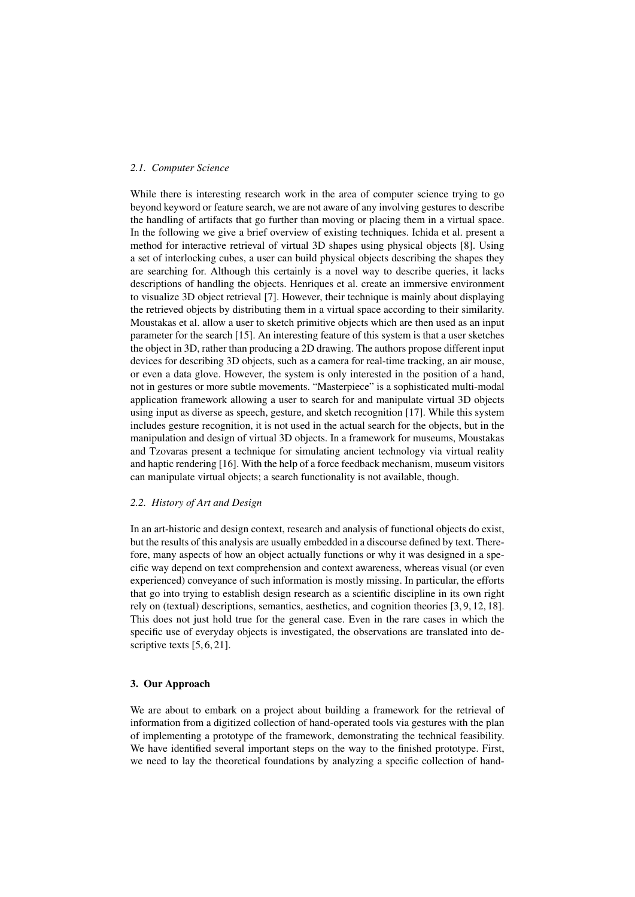# *2.1. Computer Science*

While there is interesting research work in the area of computer science trying to go beyond keyword or feature search, we are not aware of any involving gestures to describe the handling of artifacts that go further than moving or placing them in a virtual space. In the following we give a brief overview of existing techniques. Ichida et al. present a method for interactive retrieval of virtual 3D shapes using physical objects [\[8\]](#page-4-4). Using a set of interlocking cubes, a user can build physical objects describing the shapes they are searching for. Although this certainly is a novel way to describe queries, it lacks descriptions of handling the objects. Henriques et al. create an immersive environment to visualize 3D object retrieval [\[7\]](#page-4-5). However, their technique is mainly about displaying the retrieved objects by distributing them in a virtual space according to their similarity. Moustakas et al. allow a user to sketch primitive objects which are then used as an input parameter for the search [\[15\]](#page-4-6). An interesting feature of this system is that a user sketches the object in 3D, rather than producing a 2D drawing. The authors propose different input devices for describing 3D objects, such as a camera for real-time tracking, an air mouse, or even a data glove. However, the system is only interested in the position of a hand, not in gestures or more subtle movements. "Masterpiece" is a sophisticated multi-modal application framework allowing a user to search for and manipulate virtual 3D objects using input as diverse as speech, gesture, and sketch recognition [\[17\]](#page-4-7). While this system includes gesture recognition, it is not used in the actual search for the objects, but in the manipulation and design of virtual 3D objects. In a framework for museums, Moustakas and Tzovaras present a technique for simulating ancient technology via virtual reality and haptic rendering [\[16\]](#page-4-8). With the help of a force feedback mechanism, museum visitors can manipulate virtual objects; a search functionality is not available, though.

# *2.2. History of Art and Design*

In an art-historic and design context, research and analysis of functional objects do exist, but the results of this analysis are usually embedded in a discourse defined by text. Therefore, many aspects of how an object actually functions or why it was designed in a specific way depend on text comprehension and context awareness, whereas visual (or even experienced) conveyance of such information is mostly missing. In particular, the efforts that go into trying to establish design research as a scientific discipline in its own right rely on (textual) descriptions, semantics, aesthetics, and cognition theories [\[3,](#page-4-9) [9,](#page-4-10) [12,](#page-4-11) [18\]](#page-4-12). This does not just hold true for the general case. Even in the rare cases in which the specific use of everyday objects is investigated, the observations are translated into de-scriptive texts [\[5,](#page-4-13) [6,](#page-4-14) [21\]](#page-4-15).

#### 3. Our Approach

We are about to embark on a project about building a framework for the retrieval of information from a digitized collection of hand-operated tools via gestures with the plan of implementing a prototype of the framework, demonstrating the technical feasibility. We have identified several important steps on the way to the finished prototype. First, we need to lay the theoretical foundations by analyzing a specific collection of hand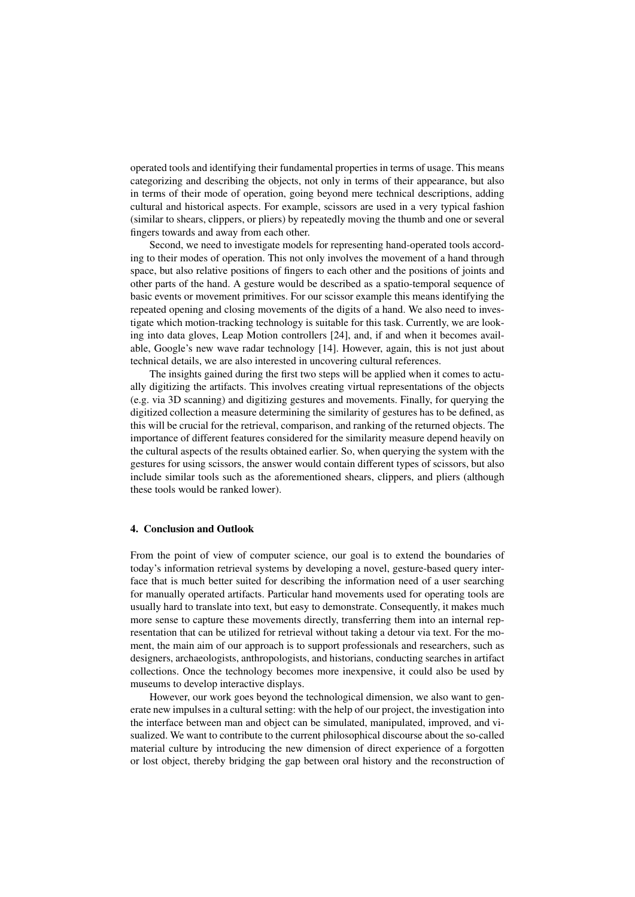operated tools and identifying their fundamental properties in terms of usage. This means categorizing and describing the objects, not only in terms of their appearance, but also in terms of their mode of operation, going beyond mere technical descriptions, adding cultural and historical aspects. For example, scissors are used in a very typical fashion (similar to shears, clippers, or pliers) by repeatedly moving the thumb and one or several fingers towards and away from each other.

Second, we need to investigate models for representing hand-operated tools according to their modes of operation. This not only involves the movement of a hand through space, but also relative positions of fingers to each other and the positions of joints and other parts of the hand. A gesture would be described as a spatio-temporal sequence of basic events or movement primitives. For our scissor example this means identifying the repeated opening and closing movements of the digits of a hand. We also need to investigate which motion-tracking technology is suitable for this task. Currently, we are looking into data gloves, Leap Motion controllers [\[24\]](#page-4-3), and, if and when it becomes available, Google's new wave radar technology [\[14\]](#page-4-16). However, again, this is not just about technical details, we are also interested in uncovering cultural references.

The insights gained during the first two steps will be applied when it comes to actually digitizing the artifacts. This involves creating virtual representations of the objects (e.g. via 3D scanning) and digitizing gestures and movements. Finally, for querying the digitized collection a measure determining the similarity of gestures has to be defined, as this will be crucial for the retrieval, comparison, and ranking of the returned objects. The importance of different features considered for the similarity measure depend heavily on the cultural aspects of the results obtained earlier. So, when querying the system with the gestures for using scissors, the answer would contain different types of scissors, but also include similar tools such as the aforementioned shears, clippers, and pliers (although these tools would be ranked lower).

## 4. Conclusion and Outlook

From the point of view of computer science, our goal is to extend the boundaries of today's information retrieval systems by developing a novel, gesture-based query interface that is much better suited for describing the information need of a user searching for manually operated artifacts. Particular hand movements used for operating tools are usually hard to translate into text, but easy to demonstrate. Consequently, it makes much more sense to capture these movements directly, transferring them into an internal representation that can be utilized for retrieval without taking a detour via text. For the moment, the main aim of our approach is to support professionals and researchers, such as designers, archaeologists, anthropologists, and historians, conducting searches in artifact collections. Once the technology becomes more inexpensive, it could also be used by museums to develop interactive displays.

However, our work goes beyond the technological dimension, we also want to generate new impulses in a cultural setting: with the help of our project, the investigation into the interface between man and object can be simulated, manipulated, improved, and visualized. We want to contribute to the current philosophical discourse about the so-called material culture by introducing the new dimension of direct experience of a forgotten or lost object, thereby bridging the gap between oral history and the reconstruction of